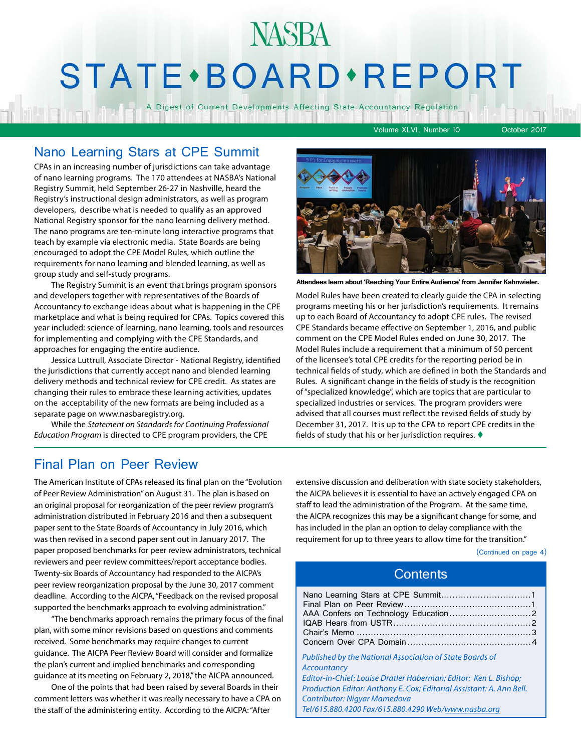# STATE · BOARD · REPORT

A Digest of Current Developments Affecting State Accountancy Regulation

Volume XLVI, Number 10 October 2017

#### Nano Learning Stars at CPE Summit

CPAs in an increasing number of jurisdictions can take advantage of nano learning programs. The 170 attendees at NASBA's National Registry Summit, held September 26-27 in Nashville, heard the Registry's instructional design administrators, as well as program developers, describe what is needed to qualify as an approved National Registry sponsor for the nano learning delivery method. The nano programs are ten-minute long interactive programs that teach by example via electronic media. State Boards are being encouraged to adopt the CPE Model Rules, which outline the requirements for nano learning and blended learning, as well as group study and self-study programs.

The Registry Summit is an event that brings program sponsors and developers together with representatives of the Boards of Accountancy to exchange ideas about what is happening in the CPE marketplace and what is being required for CPAs. Topics covered this year included: science of learning, nano learning, tools and resources for implementing and complying with the CPE Standards, and approaches for engaging the entire audience.

Jessica Luttrull, Associate Director - National Registry, identified the jurisdictions that currently accept nano and blended learning delivery methods and technical review for CPE credit. As states are changing their rules to embrace these learning activities, updates on the acceptability of the new formats are being included as a separate page on www.nasbaregistry.org.

While the *Statement on Standards for Continuing Professional Education Program* is directed to CPE program providers, the CPE



**Attendees learn about 'Reaching Your Entire Audience' from Jennifer Kahnwieler.**

Model Rules have been created to clearly guide the CPA in selecting programs meeting his or her jurisdiction's requirements. It remains up to each Board of Accountancy to adopt CPE rules. The revised CPE Standards became effective on September 1, 2016, and public comment on the CPE Model Rules ended on June 30, 2017. The Model Rules include a requirement that a minimum of 50 percent of the licensee's total CPE credits for the reporting period be in technical fields of study, which are defined in both the Standards and Rules. A significant change in the fields of study is the recognition of "specialized knowledge", which are topics that are particular to specialized industries or services. The program providers were advised that all courses must reflect the revised fields of study by December 31, 2017. It is up to the CPA to report CPE credits in the fields of study that his or her jurisdiction requires.  $\blacklozenge$ 

#### Final Plan on Peer Review

The American Institute of CPAs released its final plan on the "Evolution of Peer Review Administration" on August 31. The plan is based on an original proposal for reorganization of the peer review program's administration distributed in February 2016 and then a subsequent paper sent to the State Boards of Accountancy in July 2016, which was then revised in a second paper sent out in January 2017. The paper proposed benchmarks for peer review administrators, technical reviewers and peer review committees/report acceptance bodies. Twenty-six Boards of Accountancy had responded to the AICPA's peer review reorganization proposal by the June 30, 2017 comment deadline. According to the AICPA, "Feedback on the revised proposal supported the benchmarks approach to evolving administration."

"The benchmarks approach remains the primary focus of the final plan, with some minor revisions based on questions and comments received. Some benchmarks may require changes to current guidance. The AICPA Peer Review Board will consider and formalize the plan's current and implied benchmarks and corresponding guidance at its meeting on February 2, 2018," the AICPA announced.

One of the points that had been raised by several Boards in their comment letters was whether it was really necessary to have a CPA on the staff of the administering entity. According to the AICPA: "After

extensive discussion and deliberation with state society stakeholders, the AICPA believes it is essential to have an actively engaged CPA on staff to lead the administration of the Program. At the same time, the AICPA recognizes this may be a significant change for some, and has included in the plan an option to delay compliance with the requirement for up to three years to allow time for the transition."

(Continued on page 4)

#### **Contents**

| Published by the National Association of State Boards of<br>Accountancy |  |
|-------------------------------------------------------------------------|--|
| Editor-in-Chief: Louise Dratler Haberman; Editor: Ken L. Bishop;        |  |
| Production Editor: Anthony E. Cox; Editorial Assistant: A. Ann Bell.    |  |
| <b>Contributor: Nigyar Mamedova</b>                                     |  |
| Tel/615.880.4200 Fax/615.880.4290 Web/www.nasba.org                     |  |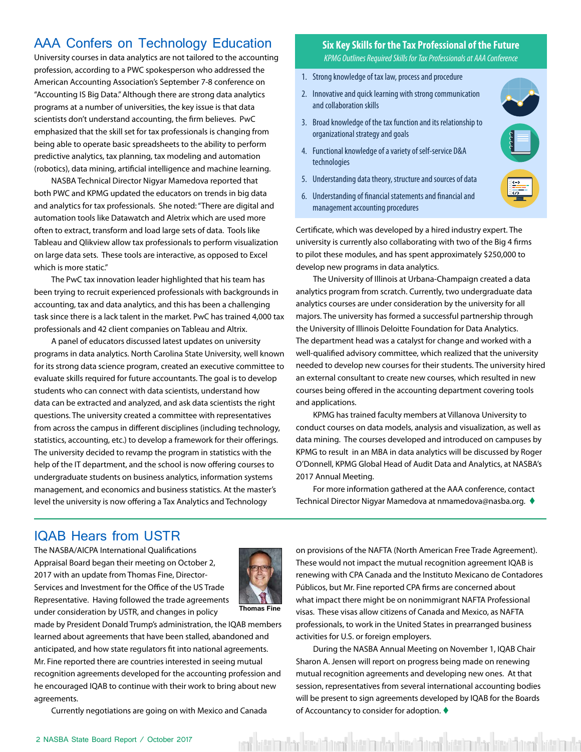#### <span id="page-1-0"></span>AAA Confers on Technology Education

University courses in data analytics are not tailored to the accounting profession, according to a PWC spokesperson who addressed the American Accounting Association's September 7-8 conference on "Accounting IS Big Data." Although there are strong data analytics programs at a number of universities, the key issue is that data scientists don't understand accounting, the firm believes. PwC emphasized that the skill set for tax professionals is changing from being able to operate basic spreadsheets to the ability to perform predictive analytics, tax planning, tax modeling and automation (robotics), data mining, artificial intelligence and machine learning.

NASBA Technical Director Nigyar Mamedova reported that both PWC and KPMG updated the educators on trends in big data and analytics for tax professionals. She noted: "There are digital and automation tools like Datawatch and Aletrix which are used more often to extract, transform and load large sets of data. Tools like Tableau and Qlikview allow tax professionals to perform visualization on large data sets. These tools are interactive, as opposed to Excel which is more static."

The PwC tax innovation leader highlighted that his team has been trying to recruit experienced professionals with backgrounds in accounting, tax and data analytics, and this has been a challenging task since there is a lack talent in the market. PwC has trained 4,000 tax professionals and 42 client companies on Tableau and Altrix.

A panel of educators discussed latest updates on university programs in data analytics. North Carolina State University, well known for its strong data science program, created an executive committee to evaluate skills required for future accountants. The goal is to develop students who can connect with data scientists, understand how data can be extracted and analyzed, and ask data scientists the right questions. The university created a committee with representatives from across the campus in different disciplines (including technology, statistics, accounting, etc.) to develop a framework for their offerings. The university decided to revamp the program in statistics with the help of the IT department, and the school is now offering courses to undergraduate students on business analytics, information systems management, and economics and business statistics. At the master's level the university is now offering a Tax Analytics and Technology

#### **Six Key Skills for the Tax Professional of the Future** *KPMG Outlines Required Skills for Tax Professionals at AAA Conference*

- 1. Strong knowledge of tax law, process and procedure
- 2. Innovative and quick learning with strong communication and collaboration skills
- 3. Broad knowledge of the tax function and its relationship to organizational strategy and goals
- 4. Functional knowledge of a variety of self-service D&A technologies
- Understanding data theory, structure and sources of data 5.



6. Understanding of financial statements and financial and management accounting procedures

Certificate, which was developed by a hired industry expert. The university is currently also collaborating with two of the Big 4 firms to pilot these modules, and has spent approximately \$250,000 to develop new programs in data analytics.

The University of Illinois at Urbana-Champaign created a data analytics program from scratch. Currently, two undergraduate data analytics courses are under consideration by the university for all majors. The university has formed a successful partnership through the University of Illinois Deloitte Foundation for Data Analytics. The department head was a catalyst for change and worked with a well-qualified advisory committee, which realized that the university needed to develop new courses for their students. The university hired an external consultant to create new courses, which resulted in new courses being offered in the accounting department covering tools and applications.

KPMG has trained faculty members at Villanova University to conduct courses on data models, analysis and visualization, as well as data mining. The courses developed and introduced on campuses by KPMG to result in an MBA in data analytics will be discussed by Roger O'Donnell, KPMG Global Head of Audit Data and Analytics, at NASBA's 2017 Annual Meeting.

For more information gathered at the AAA conference, contact Technical Director Nigyar Mamedova at nmamedova@nasba.org. ♦

#### IQAB Hears from USTR

The NASBA/AICPA International Qualifications Appraisal Board began their meeting on October 2, 2017 with an update from Thomas Fine, Director-Services and Investment for the Office of the US Trade Representative. Having followed the trade agreements under consideration by USTR, and changes in policy



**Thomas Fine**

made by President Donald Trump's administration, the IQAB members learned about agreements that have been stalled, abandoned and anticipated, and how state regulators fit into national agreements. Mr. Fine reported there are countries interested in seeing mutual recognition agreements developed for the accounting profession and he encouraged IQAB to continue with their work to bring about new agreements.

Currently negotiations are going on with Mexico and Canada

on provisions of the NAFTA (North American Free Trade Agreement). These would not impact the mutual recognition agreement IQAB is renewing with CPA Canada and the Instituto Mexicano de Contadores Públicos, but Mr. Fine reported CPA firms are concerned about what impact there might be on nonimmigrant NAFTA Professional visas. These visas allow citizens of Canada and Mexico, as NAFTA professionals, to work in the United States in prearranged business activities for U.S. or foreign employers.

During the NASBA Annual Meeting on November 1, IQAB Chair Sharon A. Jensen will report on progress being made on renewing mutual recognition agreements and developing new ones. At that session, representatives from several international accounting bodies will be present to sign agreements developed by IQAB for the Boards of Accountancy to consider for adoption.  $\blacklozenge$ 

veri kött bashkar kött önem bött mukar kött önem bött bashkar kött önem bött bashkar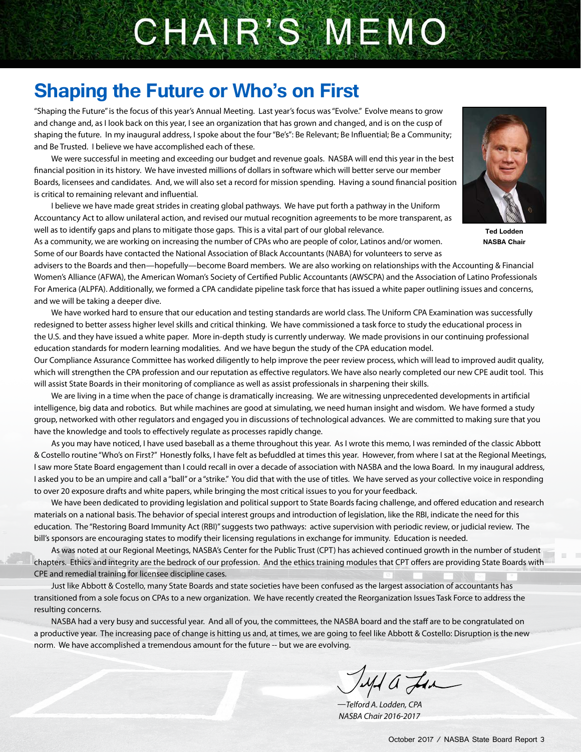# CHAIR'S MEMO

## **Shaping the Future or Who's on First**

"Shaping the Future" is the focus of this year's Annual Meeting. Last year's focus was "Evolve." Evolve means to grow and change and, as I look back on this year, I see an organization that has grown and changed, and is on the cusp of shaping the future. In my inaugural address, I spoke about the four "Be's": Be Relevant; Be Influential; Be a Community; and Be Trusted. I believe we have accomplished each of these.

We were successful in meeting and exceeding our budget and revenue goals. NASBA will end this year in the best financial position in its history. We have invested millions of dollars in software which will better serve our member Boards, licensees and candidates. And, we will also set a record for mission spending. Having a sound financial position is critical to remaining relevant and influential.

I believe we have made great strides in creating global pathways. We have put forth a pathway in the Uniform Accountancy Act to allow unilateral action, and revised our mutual recognition agreements to be more transparent, as well as to identify gaps and plans to mitigate those gaps. This is a vital part of our global relevance.

As a community, we are working on increasing the number of CPAs who are people of color, Latinos and/or women. Some of our Boards have contacted the National Association of Black Accountants (NABA) for volunteers to serve as



**Ted Lodden NASBA Chair**

advisers to the Boards and then—hopefully—become Board members. We are also working on relationships with the Accounting & Financial Women's Alliance (AFWA), the American Woman's Society of Certified Public Accountants (AWSCPA) and the Association of Latino Professionals For America (ALPFA). Additionally, we formed a CPA candidate pipeline task force that has issued a white paper outlining issues and concerns, and we will be taking a deeper dive.

We have worked hard to ensure that our education and testing standards are world class. The Uniform CPA Examination was successfully redesigned to better assess higher level skills and critical thinking. We have commissioned a task force to study the educational process in the U.S. and they have issued a white paper. More in-depth study is currently underway. We made provisions in our continuing professional education standards for modern learning modalities. And we have begun the study of the CPA education model.

Our Compliance Assurance Committee has worked diligently to help improve the peer review process, which will lead to improved audit quality, which will strengthen the CPA profession and our reputation as effective regulators. We have also nearly completed our new CPE audit tool. This will assist State Boards in their monitoring of compliance as well as assist professionals in sharpening their skills.

We are living in a time when the pace of change is dramatically increasing. We are witnessing unprecedented developments in artificial intelligence, big data and robotics. But while machines are good at simulating, we need human insight and wisdom. We have formed a study group, networked with other regulators and engaged you in discussions of technological advances. We are committed to making sure that you have the knowledge and tools to effectively regulate as processes rapidly change.

As you may have noticed, I have used baseball as a theme throughout this year. As I wrote this memo, I was reminded of the classic Abbott & Costello routine "Who's on First?" Honestly folks, I have felt as befuddled at times this year. However, from where I sat at the Regional Meetings, I saw more State Board engagement than I could recall in over a decade of association with NASBA and the Iowa Board. In my inaugural address, I asked you to be an umpire and call a "ball" or a "strike." You did that with the use of titles. We have served as your collective voice in responding to over 20 exposure drafts and white papers, while bringing the most critical issues to you for your feedback.

We have been dedicated to providing legislation and political support to State Boards facing challenge, and offered education and research materials on a national basis. The behavior of special interest groups and introduction of legislation, like the RBI, indicate the need for this education. The "Restoring Board Immunity Act (RBI)" suggests two pathways: active supervision with periodic review, or judicial review. The bill's sponsors are encouraging states to modify their licensing regulations in exchange for immunity. Education is needed.

As was noted at our Regional Meetings, NASBA's Center for the Public Trust (CPT) has achieved continued growth in the number of student chapters. Ethics and integrity are the bedrock of our profession. And the ethics training modules that CPT offers are providing State Boards with CPE and remedial training for licensee discipline cases.

Just like Abbott & Costello, many State Boards and state societies have been confused as the largest association of accountants has transitioned from a sole focus on CPAs to a new organization. We have recently created the Reorganization Issues Task Force to address the resulting concerns.

NASBA had a very busy and successful year. And all of you, the committees, the NASBA board and the staff are to be congratulated on a productive year. The increasing pace of change is hitting us and, at times, we are going to feel like Abbott & Costello: Disruption is the new norm. We have accomplished a tremendous amount for the future -- but we are evolving.

Jeph a Lea

*—Telford A. Lodden, CPA NASBA Chair 2016-2017*